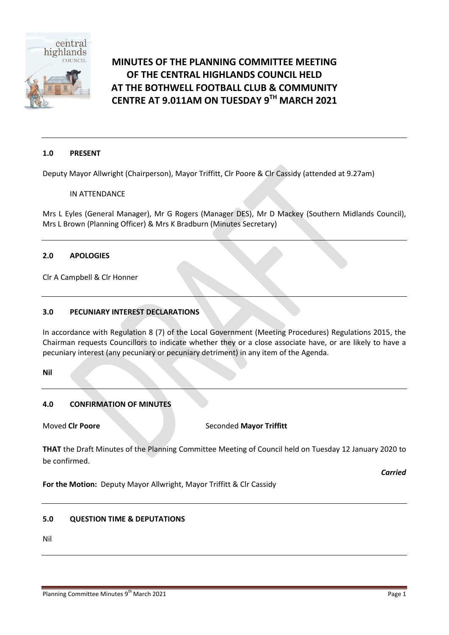

# **MINUTES OF THE PLANNING COMMITTEE MEETING OF THE CENTRAL HIGHLANDS COUNCIL HELD AT THE BOTHWELL FOOTBALL CLUB & COMMUNITY CENTRE AT 9.011AM ON TUESDAY 9 TH MARCH 2021**

### **1.0 PRESENT**

Deputy Mayor Allwright (Chairperson), Mayor Triffitt, Clr Poore & Clr Cassidy (attended at 9.27am)

#### IN ATTENDANCE

Mrs L Eyles (General Manager), Mr G Rogers (Manager DES), Mr D Mackey (Southern Midlands Council), Mrs L Brown (Planning Officer) & Mrs K Bradburn (Minutes Secretary)

### **2.0 APOLOGIES**

Clr A Campbell & Clr Honner

#### **3.0 PECUNIARY INTEREST DECLARATIONS**

In accordance with Regulation 8 (7) of the Local Government (Meeting Procedures) Regulations 2015, the Chairman requests Councillors to indicate whether they or a close associate have, or are likely to have a pecuniary interest (any pecuniary or pecuniary detriment) in any item of the Agenda.

**Nil**

## **4.0 CONFIRMATION OF MINUTES**

**Moved Clr Poore** Seconded **Mayor Triffitt** 

**THAT** the Draft Minutes of the Planning Committee Meeting of Council held on Tuesday 12 January 2020 to be confirmed.

*Carried*

**For the Motion:** Deputy Mayor Allwright, Mayor Triffitt & Clr Cassidy

#### **5.0 QUESTION TIME & DEPUTATIONS**

Nil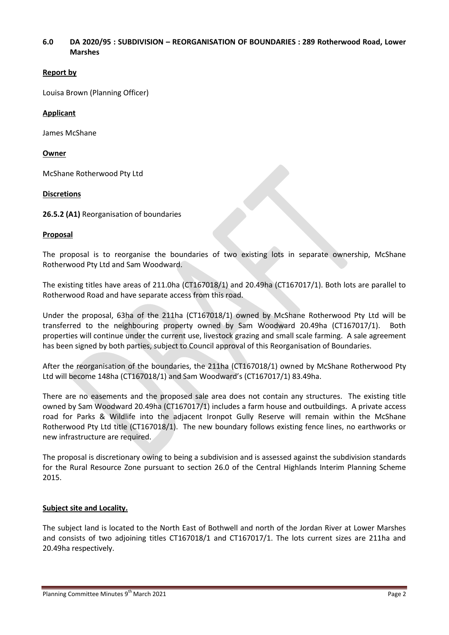# **6.0 DA 2020/95 : SUBDIVISION – REORGANISATION OF BOUNDARIES : 289 Rotherwood Road, Lower Marshes**

## **Report by**

Louisa Brown (Planning Officer)

# **Applicant**

James McShane

## **Owner**

McShane Rotherwood Pty Ltd

# **Discretions**

**26.5.2 (A1)** Reorganisation of boundaries

## **Proposal**

The proposal is to reorganise the boundaries of two existing lots in separate ownership, McShane Rotherwood Pty Ltd and Sam Woodward.

The existing titles have areas of 211.0ha (CT167018/1) and 20.49ha (CT167017/1). Both lots are parallel to Rotherwood Road and have separate access from this road.

Under the proposal, 63ha of the 211ha (CT167018/1) owned by McShane Rotherwood Pty Ltd will be transferred to the neighbouring property owned by Sam Woodward 20.49ha (CT167017/1). Both properties will continue under the current use, livestock grazing and small scale farming. A sale agreement has been signed by both parties, subject to Council approval of this Reorganisation of Boundaries.

After the reorganisation of the boundaries, the 211ha (CT167018/1) owned by McShane Rotherwood Pty Ltd will become 148ha (CT167018/1) and Sam Woodward's (CT167017/1) 83.49ha.

There are no easements and the proposed sale area does not contain any structures. The existing title owned by Sam Woodward 20.49ha (CT167017/1) includes a farm house and outbuildings. A private access road for Parks & Wildlife into the adjacent Ironpot Gully Reserve will remain within the McShane Rotherwood Pty Ltd title (CT167018/1). The new boundary follows existing fence lines, no earthworks or new infrastructure are required.

The proposal is discretionary owing to being a subdivision and is assessed against the subdivision standards for the Rural Resource Zone pursuant to section 26.0 of the Central Highlands Interim Planning Scheme 2015.

# **Subject site and Locality.**

The subject land is located to the North East of Bothwell and north of the Jordan River at Lower Marshes and consists of two adjoining titles CT167018/1 and CT167017/1. The lots current sizes are 211ha and 20.49ha respectively.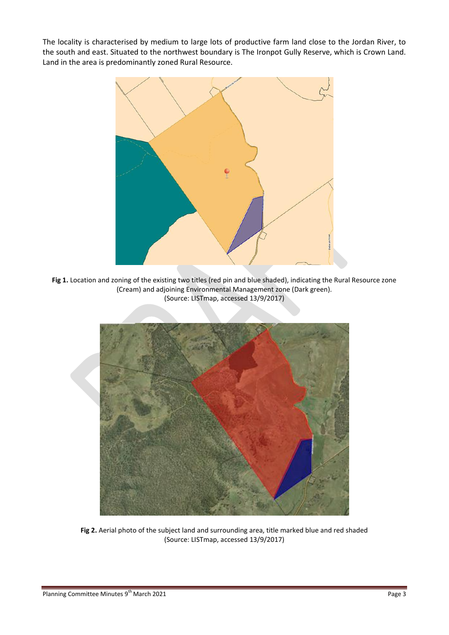The locality is characterised by medium to large lots of productive farm land close to the Jordan River, to the south and east. Situated to the northwest boundary is The Ironpot Gully Reserve, which is Crown Land. Land in the area is predominantly zoned Rural Resource.



Fig 1. Location and zoning of the existing two titles (red pin and blue shaded), indicating the Rural Resource zone (Cream) and adjoining Environmental Management zone (Dark green). (Source: LISTmap, accessed 13/9/2017)



**Fig 2.** Aerial photo of the subject land and surrounding area, title marked blue and red shaded (Source: LISTmap, accessed 13/9/2017)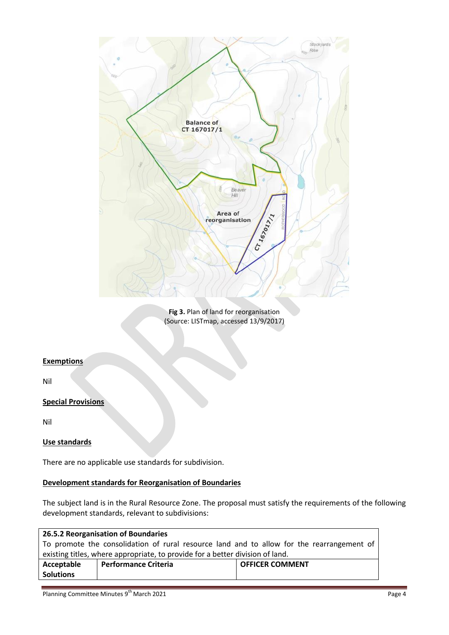

**Fig 3.** Plan of land for reorganisation (Source: LISTmap, accessed 13/9/2017)

# **Exemptions**

Nil

## **Special Provisions**

Nil

### **Use standards**

There are no applicable use standards for subdivision.

### **Development standards for Reorganisation of Boundaries**

The subject land is in the Rural Resource Zone. The proposal must satisfy the requirements of the following development standards, relevant to subdivisions:

| 26.5.2 Reorganisation of Boundaries                                                       |                             |                        |  |  |  |  |
|-------------------------------------------------------------------------------------------|-----------------------------|------------------------|--|--|--|--|
| To promote the consolidation of rural resource land and to allow for the rearrangement of |                             |                        |  |  |  |  |
| existing titles, where appropriate, to provide for a better division of land.             |                             |                        |  |  |  |  |
| Acceptable                                                                                | <b>Performance Criteria</b> | <b>OFFICER COMMENT</b> |  |  |  |  |
| <b>Solutions</b>                                                                          |                             |                        |  |  |  |  |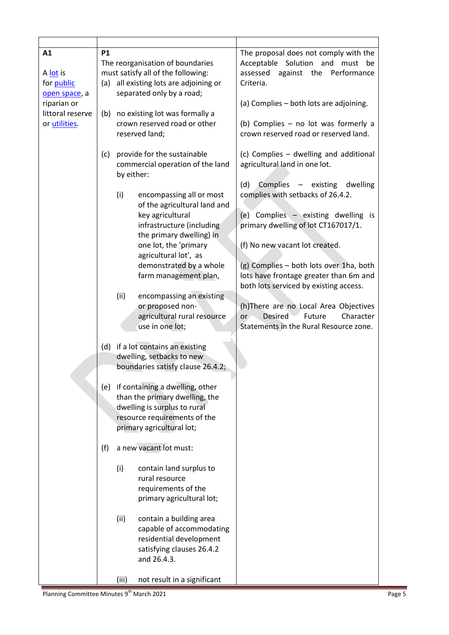| A1<br>A lot is<br>for public<br>open space, a<br>riparian or<br>littoral reserve<br>or utilities. | <b>P1</b><br>The reorganisation of boundaries<br>must satisfy all of the following:<br>(a) all existing lots are adjoining or<br>separated only by a road;<br>no existing lot was formally a<br>(b)<br>crown reserved road or other<br>reserved land;                                                                                                                                                                                                                                                                                                                                                                                                                                                                                                                                                                                                                                                                                                                                                                                                    | The proposal does not comply with the<br>Acceptable Solution and must be<br>against the<br>Performance<br>assessed<br>Criteria.<br>(a) Complies - both lots are adjoining.<br>(b) Complies $-$ no lot was formerly a<br>crown reserved road or reserved land.                                                                                                                                                                                                                                                                        |
|---------------------------------------------------------------------------------------------------|----------------------------------------------------------------------------------------------------------------------------------------------------------------------------------------------------------------------------------------------------------------------------------------------------------------------------------------------------------------------------------------------------------------------------------------------------------------------------------------------------------------------------------------------------------------------------------------------------------------------------------------------------------------------------------------------------------------------------------------------------------------------------------------------------------------------------------------------------------------------------------------------------------------------------------------------------------------------------------------------------------------------------------------------------------|--------------------------------------------------------------------------------------------------------------------------------------------------------------------------------------------------------------------------------------------------------------------------------------------------------------------------------------------------------------------------------------------------------------------------------------------------------------------------------------------------------------------------------------|
|                                                                                                   | provide for the sustainable<br>(c)<br>commercial operation of the land<br>by either:<br>(i)<br>encompassing all or most<br>of the agricultural land and<br>key agricultural<br>infrastructure (including<br>the primary dwelling) in<br>one lot, the 'primary<br>agricultural lot', as<br>demonstrated by a whole<br>farm management plan,<br>(ii)<br>encompassing an existing<br>or proposed non-<br>agricultural rural resource<br>use in one lot;<br>(d) if a lot contains an existing<br>dwelling, setbacks to new<br>boundaries satisfy clause 26.4.2;<br>(e) if containing a dwelling, other<br>than the primary dwelling, the<br>dwelling is surplus to rural<br>resource requirements of the<br>primary agricultural lot;<br>a new vacant lot must:<br>(f)<br>(i)<br>contain land surplus to<br>rural resource<br>requirements of the<br>primary agricultural lot;<br>(ii)<br>contain a building area<br>capable of accommodating<br>residential development<br>satisfying clauses 26.4.2<br>and 26.4.3.<br>(iii)<br>not result in a significant | (c) Complies - dwelling and additional<br>agricultural land in one lot.<br>(d)<br>Complies<br>- existing<br>dwelling<br>complies with setbacks of 26.4.2.<br>(e) Complies - existing dwelling is<br>primary dwelling of lot CT167017/1.<br>(f) No new vacant lot created.<br>(g) Complies - both lots over 1ha, both<br>lots have frontage greater than 6m and<br>both lots serviced by existing access.<br>(h) There are no Local Area Objectives<br>Future<br>Desired<br>Character<br>or<br>Statements in the Rural Resource zone. |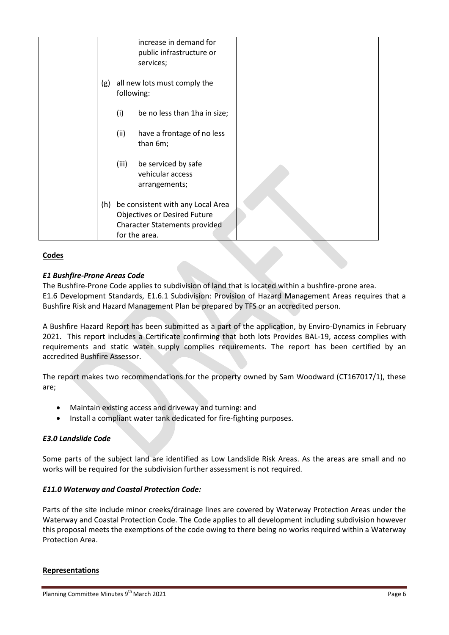|     |                                                                                                                            | increase in demand for<br>public infrastructure or<br>services; |  |
|-----|----------------------------------------------------------------------------------------------------------------------------|-----------------------------------------------------------------|--|
| (g) | following:                                                                                                                 | all new lots must comply the                                    |  |
|     | (i)                                                                                                                        | be no less than 1ha in size;                                    |  |
|     | (ii)                                                                                                                       | have a frontage of no less<br>than 6m;                          |  |
|     | (iii)                                                                                                                      | be serviced by safe<br>vehicular access<br>arrangements;        |  |
| (h) | be consistent with any Local Area<br><b>Objectives or Desired Future</b><br>Character Statements provided<br>for the area. |                                                                 |  |

### **Codes**

### *E1 Bushfire-Prone Areas Code*

The Bushfire-Prone Code applies to subdivision of land that is located within a bushfire-prone area.

E1.6 Development Standards, E1.6.1 Subdivision: Provision of Hazard Management Areas requires that a Bushfire Risk and Hazard Management Plan be prepared by TFS or an accredited person.

A Bushfire Hazard Report has been submitted as a part of the application, by Enviro-Dynamics in February 2021. This report includes a Certificate confirming that both lots Provides BAL-19, access complies with requirements and static water supply complies requirements. The report has been certified by an accredited Bushfire Assessor.

The report makes two recommendations for the property owned by Sam Woodward (CT167017/1), these are;

- Maintain existing access and driveway and turning: and
- Install a compliant water tank dedicated for fire-fighting purposes.

#### *E3.0 Landslide Code*

Some parts of the subject land are identified as Low Landslide Risk Areas. As the areas are small and no works will be required for the subdivision further assessment is not required.

#### *E11.0 Waterway and Coastal Protection Code:*

Parts of the site include minor creeks/drainage lines are covered by Waterway Protection Areas under the Waterway and Coastal Protection Code. The Code applies to all development including subdivision however this proposal meets the exemptions of the code owing to there being no works required within a Waterway Protection Area.

#### **Representations**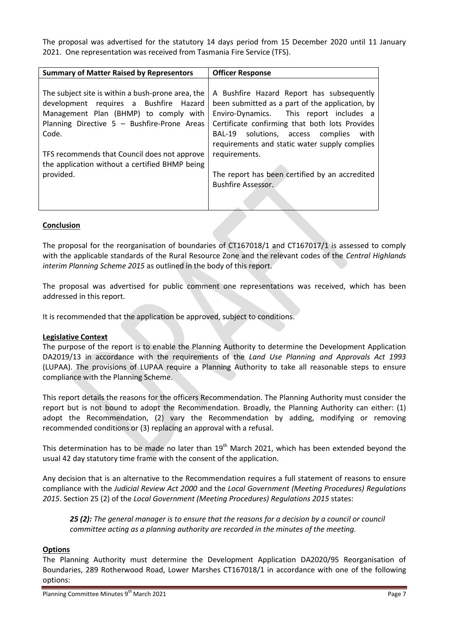The proposal was advertised for the statutory 14 days period from 15 December 2020 until 11 January 2021. One representation was received from Tasmania Fire Service (TFS).

| <b>Summary of Matter Raised by Representors</b>                                                                                      | <b>Officer Response</b>                                                                                                                      |
|--------------------------------------------------------------------------------------------------------------------------------------|----------------------------------------------------------------------------------------------------------------------------------------------|
| The subject site is within a bush-prone area, the<br>development requires a Bushfire Hazard<br>Management Plan (BHMP) to comply with | A Bushfire Hazard Report has subsequently<br>been submitted as a part of the application, by<br>Enviro-Dynamics. This report includes a      |
| Planning Directive 5 - Bushfire-Prone Areas<br>Code.                                                                                 | Certificate confirming that both lots Provides<br>BAL-19 solutions, access complies<br>with<br>requirements and static water supply complies |
| TFS recommends that Council does not approve<br>the application without a certified BHMP being<br>provided.                          | requirements.<br>The report has been certified by an accredited<br><b>Bushfire Assessor.</b>                                                 |
|                                                                                                                                      |                                                                                                                                              |

### **Conclusion**

The proposal for the reorganisation of boundaries of CT167018/1 and CT167017/1 is assessed to comply with the applicable standards of the Rural Resource Zone and the relevant codes of the *Central Highlands interim Planning Scheme 2015* as outlined in the body of this report.

The proposal was advertised for public comment one representations was received, which has been addressed in this report.

It is recommended that the application be approved, subject to conditions.

#### **Legislative Context**

The purpose of the report is to enable the Planning Authority to determine the Development Application DA2019/13 in accordance with the requirements of the *Land Use Planning and Approvals Act 1993*  (LUPAA). The provisions of LUPAA require a Planning Authority to take all reasonable steps to ensure compliance with the Planning Scheme.

This report details the reasons for the officers Recommendation. The Planning Authority must consider the report but is not bound to adopt the Recommendation. Broadly, the Planning Authority can either: (1) adopt the Recommendation, (2) vary the Recommendation by adding, modifying or removing recommended conditions or (3) replacing an approval with a refusal.

This determination has to be made no later than 19<sup>th</sup> March 2021, which has been extended beyond the usual 42 day statutory time frame with the consent of the application.

Any decision that is an alternative to the Recommendation requires a full statement of reasons to ensure compliance with the *Judicial Review Act 2000* and the *Local Government (Meeting Procedures) Regulations 2015*. Section 25 (2) of the *Local Government (Meeting Procedures) Regulations 2015* states:

*25 (2): The general manager is to ensure that the reasons for a decision by a council or council committee acting as a planning authority are recorded in the minutes of the meeting.*

#### **Options**

The Planning Authority must determine the Development Application DA2020/95 Reorganisation of Boundaries, 289 Rotherwood Road, Lower Marshes CT167018/1 in accordance with one of the following options: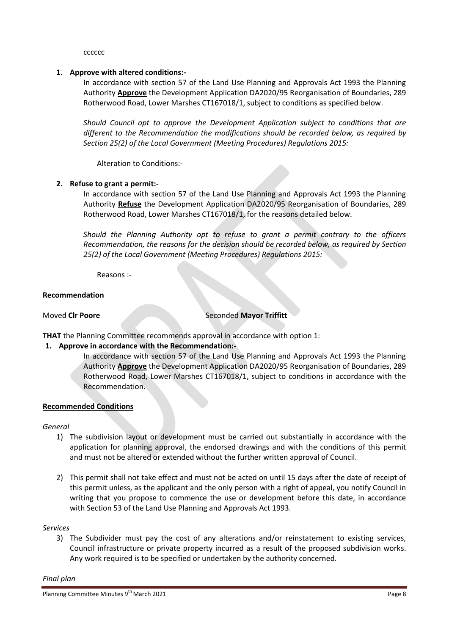cccccc

#### **1. Approve with altered conditions:-**

In accordance with section 57 of the Land Use Planning and Approvals Act 1993 the Planning Authority **Approve** the Development Application DA2020/95 Reorganisation of Boundaries, 289 Rotherwood Road, Lower Marshes CT167018/1, subject to conditions as specified below.

*Should Council opt to approve the Development Application subject to conditions that are different to the Recommendation the modifications should be recorded below, as required by Section 25(2) of the Local Government (Meeting Procedures) Regulations 2015:*

Alteration to Conditions:-

### **2. Refuse to grant a permit:-**

In accordance with section 57 of the Land Use Planning and Approvals Act 1993 the Planning Authority **Refuse** the Development Application DA2020/95 Reorganisation of Boundaries, 289 Rotherwood Road, Lower Marshes CT167018/1, for the reasons detailed below.

*Should the Planning Authority opt to refuse to grant a permit contrary to the officers Recommendation, the reasons for the decision should be recorded below, as required by Section 25(2) of the Local Government (Meeting Procedures) Regulations 2015:*

Reasons :-

#### **Recommendation**

#### **Moved Clr Poore** Seconded **Mayor Triffitt**

**THAT** the Planning Committee recommends approval in accordance with option 1:

#### **1. Approve in accordance with the Recommendation:-**

In accordance with section 57 of the Land Use Planning and Approvals Act 1993 the Planning Authority **Approve** the Development Application DA2020/95 Reorganisation of Boundaries, 289 Rotherwood Road, Lower Marshes CT167018/1, subject to conditions in accordance with the Recommendation.

#### **Recommended Conditions**

*General*

- 1) The subdivision layout or development must be carried out substantially in accordance with the application for planning approval, the endorsed drawings and with the conditions of this permit and must not be altered or extended without the further written approval of Council.
- 2) This permit shall not take effect and must not be acted on until 15 days after the date of receipt of this permit unless, as the applicant and the only person with a right of appeal, you notify Council in writing that you propose to commence the use or development before this date, in accordance with Section 53 of the Land Use Planning and Approvals Act 1993.

*Services*

3) The Subdivider must pay the cost of any alterations and/or reinstatement to existing services, Council infrastructure or private property incurred as a result of the proposed subdivision works. Any work required is to be specified or undertaken by the authority concerned.

*Final plan*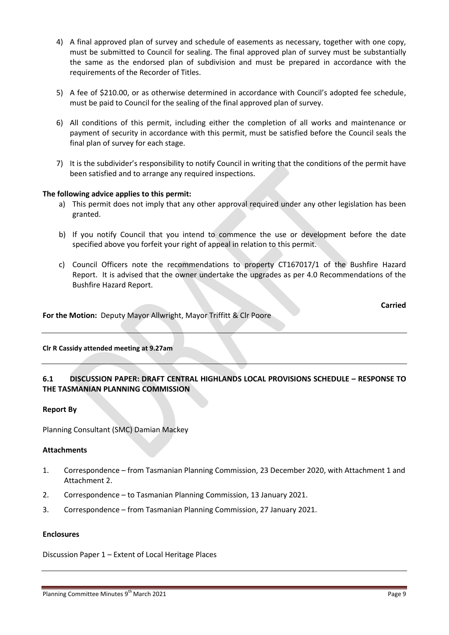- 4) A final approved plan of survey and schedule of easements as necessary, together with one copy, must be submitted to Council for sealing. The final approved plan of survey must be substantially the same as the endorsed plan of subdivision and must be prepared in accordance with the requirements of the Recorder of Titles.
- 5) A fee of \$210.00, or as otherwise determined in accordance with Council's adopted fee schedule, must be paid to Council for the sealing of the final approved plan of survey.
- 6) All conditions of this permit, including either the completion of all works and maintenance or payment of security in accordance with this permit, must be satisfied before the Council seals the final plan of survey for each stage.
- 7) It is the subdivider's responsibility to notify Council in writing that the conditions of the permit have been satisfied and to arrange any required inspections.

### **The following advice applies to this permit:**

- a) This permit does not imply that any other approval required under any other legislation has been granted.
- b) If you notify Council that you intend to commence the use or development before the date specified above you forfeit your right of appeal in relation to this permit.
- c) Council Officers note the recommendations to property CT167017/1 of the Bushfire Hazard Report. It is advised that the owner undertake the upgrades as per 4.0 Recommendations of the Bushfire Hazard Report.

**Carried**

**For the Motion:** Deputy Mayor Allwright, Mayor Triffitt & Clr Poore

#### **Clr R Cassidy attended meeting at 9.27am**

# **6.1 DISCUSSION PAPER: DRAFT CENTRAL HIGHLANDS LOCAL PROVISIONS SCHEDULE – RESPONSE TO THE TASMANIAN PLANNING COMMISSION**

#### **Report By**

Planning Consultant (SMC) Damian Mackey

#### **Attachments**

- 1. Correspondence from Tasmanian Planning Commission, 23 December 2020, with Attachment 1 and Attachment 2.
- 2. Correspondence to Tasmanian Planning Commission, 13 January 2021.
- 3. Correspondence from Tasmanian Planning Commission, 27 January 2021.

#### **Enclosures**

Discussion Paper 1 – Extent of Local Heritage Places

Planning Committee Minutes 9<sup>th</sup> March 2021 **All and Struck and Struck and Struck and Page 9** Page 9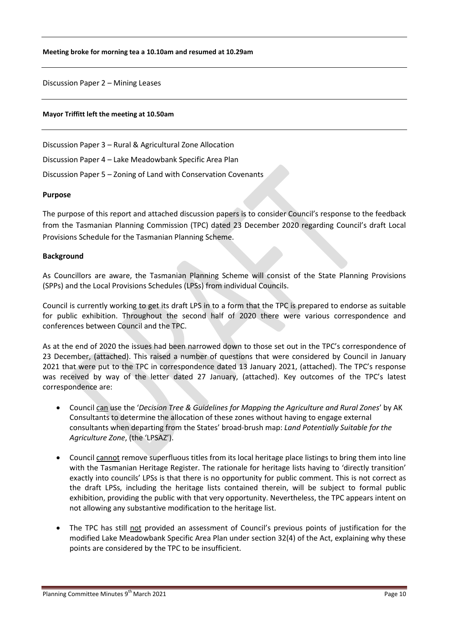#### **Meeting broke for morning tea a 10.10am and resumed at 10.29am**

Discussion Paper 2 – Mining Leases

#### **Mayor Triffitt left the meeting at 10.50am**

Discussion Paper 3 – Rural & Agricultural Zone Allocation

Discussion Paper 4 – Lake Meadowbank Specific Area Plan

Discussion Paper 5 – Zoning of Land with Conservation Covenants

#### **Purpose**

The purpose of this report and attached discussion papers is to consider Council's response to the feedback from the Tasmanian Planning Commission (TPC) dated 23 December 2020 regarding Council's draft Local Provisions Schedule for the Tasmanian Planning Scheme.

#### **Background**

As Councillors are aware, the Tasmanian Planning Scheme will consist of the State Planning Provisions (SPPs) and the Local Provisions Schedules (LPSs) from individual Councils.

Council is currently working to get its draft LPS in to a form that the TPC is prepared to endorse as suitable for public exhibition. Throughout the second half of 2020 there were various correspondence and conferences between Council and the TPC.

As at the end of 2020 the issues had been narrowed down to those set out in the TPC's correspondence of 23 December, (attached). This raised a number of questions that were considered by Council in January 2021 that were put to the TPC in correspondence dated 13 January 2021, (attached). The TPC's response was received by way of the letter dated 27 January, (attached). Key outcomes of the TPC's latest correspondence are:

- Council can use the '*Decision Tree & Guidelines for Mapping the Agriculture and Rural Zones*' by AK Consultants to determine the allocation of these zones without having to engage external consultants when departing from the States' broad-brush map: *Land Potentially Suitable for the Agriculture Zone*, (the 'LPSAZ').
- Council cannot remove superfluous titles from its local heritage place listings to bring them into line with the Tasmanian Heritage Register. The rationale for heritage lists having to 'directly transition' exactly into councils' LPSs is that there is no opportunity for public comment. This is not correct as the draft LPSs, including the heritage lists contained therein, will be subject to formal public exhibition, providing the public with that very opportunity. Nevertheless, the TPC appears intent on not allowing any substantive modification to the heritage list.
- The TPC has still not provided an assessment of Council's previous points of justification for the modified Lake Meadowbank Specific Area Plan under section 32(4) of the Act, explaining why these points are considered by the TPC to be insufficient.